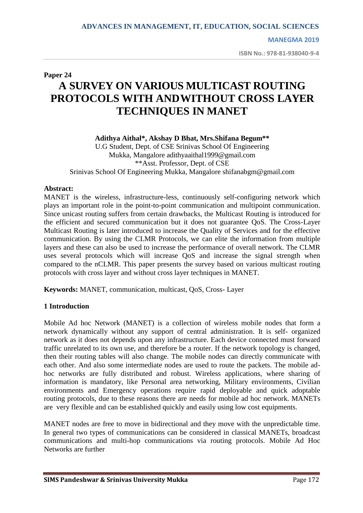**MANEGMA 2019**

**ISBN No.: 978-81-938040-9-4**

# **Paper 24 A SURVEY ON VARIOUS MULTICAST ROUTING PROTOCOLS WITH ANDWITHOUT CROSS LAYER TECHNIQUES IN MANET**

#### **Adithya Aithal\*, Akshay D Bhat, Mrs.Shifana Begum\*\***

U.G Student, Dept. of CSE Srinivas School Of Engineering Mukka, Mangalore [adithyaaithal1999@gmail.com](mailto:adithyaaithal1999@gmail.com) \*\*Asst. Professor, Dept. of CSE Srinivas School Of Engineering Mukka, Mangalore [shifanabgm@gmail.com](mailto:shifanabgm@gmail.com)

## **Abstract:**

MANET is the wireless, infrastructure-less, continuously self-configuring network which plays an important role in the point-to-point communication and multipoint communication. Since unicast routing suffers from certain drawbacks, the Multicast Routing is introduced for the efficient and secured communication but it does not guarantee QoS. The Cross-Layer Multicast Routing is later introduced to increase the Quality of Services and for the effective communication. By using the CLMR Protocols, we can elite the information from multiple layers and these can also be used to increase the performance of overall network. The CLMR uses several protocols which will increase QoS and increase the signal strength when compared to the nCLMR. This paper presents the survey based on various multicast routing protocols with cross layer and without cross layer techniques in MANET.

**Keywords:** MANET, communication, multicast, QoS, Cross- Layer

# **1 Introduction**

Mobile Ad hoc Network (MANET) is a collection of wireless mobile nodes that form a network dynamically without any support of central administration. It is self- organized network as it does not depends upon any infrastructure. Each device connected must forward traffic unrelated to its own use, and therefore be a router. If the network topology is changed, then their routing tables will also change. The mobile nodes can directly communicate with each other. And also some intermediate nodes are used to route the packets. The mobile adhoc networks are fully distributed and robust. Wireless applications, where sharing of information is mandatory, like Personal area networking, Military environments, Civilian environments and Emergency operations require rapid deployable and quick adoptable routing protocols, due to these reasons there are needs for mobile ad hoc network. MANETs are very flexible and can be established quickly and easily using low cost equipments.

MANET nodes are free to move in bidirectional and they move with the unpredictable time. In general two types of communications can be considered in classical MANETs, broadcast communications and multi-hop communications via routing protocols. Mobile Ad Hoc Networks are further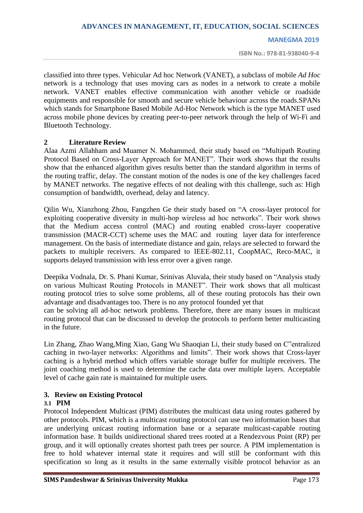#### **MANEGMA 2019**

**ISBN No.: 978-81-938040-9-4**

classified into three types. Vehicular Ad hoc Network (VANET), a subclass of mobile *Ad Hoc*  network is a technology that uses moving cars as nodes in a network to create a mobile network. VANET enables effective communication with another vehicle or roadside equipments and responsible for smooth and secure vehicle behaviour across the roads.SPANs which stands for Smartphone Based Mobile Ad-Hoc Network which is the type MANET used across mobile phone devices by creating peer-to-peer network through the help of Wi-Fi and Bluetooth Technology.

#### **2 Literature Review**

Alaa Azmi Allahham and Muamer N. Mohammed, their study based on "Multipath Routing Protocol Based on Cross-Layer Approach for MANET". Their work shows that the results show that the enhanced algorithm gives results better than the standard algorithm in terms of the routing traffic, delay. The constant motion of the nodes is one of the key challenges faced by MANET networks. The negative effects of not dealing with this challenge, such as: High consumption of bandwidth, overhead, delay and latency.

Qilin Wu, Xianzhong Zhou, Fangzhen Ge their study based on "A cross-layer protocol for exploiting cooperative diversity in multi-hop wireless ad hoc networks". Their work shows that the Medium access control (MAC) and routing enabled cross-layer cooperative transmission (MACR-CCT) scheme uses the MAC and routing layer data for interference management. On the basis of intermediate distance and gain, relays are selected to forward the packets to multiple receivers. As compared to IEEE-802.11, CoopMAC, Reco-MAC, it supports delayed transmission with less error over a given range.

Deepika Vodnala, Dr. S. Phani Kumar, Srinivas Aluvala, their study based on "Analysis study on various Multicast Routing Protocols in MANET". Their work shows that all multicast routing protocol tries to solve some problems, all of these routing protocols has their own advantage and disadvantages too. There is no any protocol founded yet that

can be solving all ad-hoc network problems. Therefore, there are many issues in multicast routing protocol that can be discussed to develop the protocols to perform better multicasting in the future.

Lin Zhang, Zhao Wang,Ming Xiao, Gang Wu Shaoqian Li, their study based on C"entralized caching in two-layer networks: Algorithms and limits". Their work shows that Cross-layer caching is a hybrid method which offers variable storage buffer for multiple receivers. The joint coaching method is used to determine the cache data over multiple layers. Acceptable level of cache gain rate is maintained for multiple users.

#### **3. Review on Existing Protocol**

#### **3.1 PIM**

Protocol Independent Multicast (PIM) distributes the multicast data using routes gathered by other protocols. PIM, which is a multicast routing protocol can use two information bases that are underlying unicast routing information base or a separate multicast-capable routing information base. It builds unidirectional shared trees rooted at a Rendezvous Point (RP) per group, and it will optionally creates shortest path trees per source. A PIM implementation is free to hold whatever internal state it requires and will still be conformant with this specification so long as it results in the same externally visible protocol behavior as an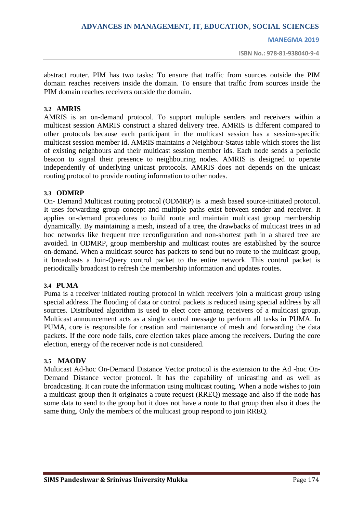#### **MANEGMA 2019**

**ISBN No.: 978-81-938040-9-4**

abstract router. PIM has two tasks: To ensure that traffic from sources outside the PIM domain reaches receivers inside the domain. To ensure that traffic from sources inside the PIM domain reaches receivers outside the domain.

#### **3.2 AMRIS**

AMRIS is an on-demand protocol. To support multiple senders and receivers within a multicast session AMRIS construct a shared delivery tree. AMRIS is different compared to other protocols because each participant in the multicast session has a session-specific multicast session member id**.** AMRIS maintains *a* Neighbour-Status table which stores the list of existing neighbours and their multicast session member ids. Each node sends a periodic beacon to signal their presence to neighbouring nodes. AMRIS is designed to operate independently of underlying unicast protocols. AMRIS does not depends on the unicast routing protocol to provide routing information to other nodes.

## **3.3 ODMRP**

On- Demand Multicast routing protocol (ODMRP) is a mesh based source-initiated protocol. It uses forwarding group concept and multiple paths exist between sender and receiver. It applies on-demand procedures to build route and maintain multicast group membership dynamically. By maintaining a mesh, instead of a tree, the drawbacks of multicast trees in ad hoc networks like frequent tree reconfiguration and non-shortest path in a shared tree are avoided. In ODMRP, group membership and multicast routes are established by the source on-demand. When a multicast source has packets to send but no route to the multicast group, it broadcasts a Join-Query control packet to the entire network. This control packet is periodically broadcast to refresh the membership information and updates routes.

#### **3.4 PUMA**

Puma is a receiver initiated routing protocol in which receivers join a multicast group using special address.The flooding of data or control packets is reduced using special address by all sources. Distributed algorithm is used to elect core among receivers of a multicast group. Multicast announcement acts as a single control message to perform all tasks in PUMA. In PUMA, core is responsible for creation and maintenance of mesh and forwarding the data packets. If the core node fails, core election takes place among the receivers. During the core election, energy of the receiver node is not considered.

#### **3.5 MAODV**

Multicast Ad-hoc On-Demand Distance Vector protocol is the extension to the Ad -hoc On-Demand Distance vector protocol. It has the capability of unicasting and as well as broadcasting. It can route the information using multicast routing. When a node wishes to join a multicast group then it originates a route request (RREQ) message and also if the node has some data to send to the group but it does not have a route to that group then also it does the same thing. Only the members of the multicast group respond to join RREQ.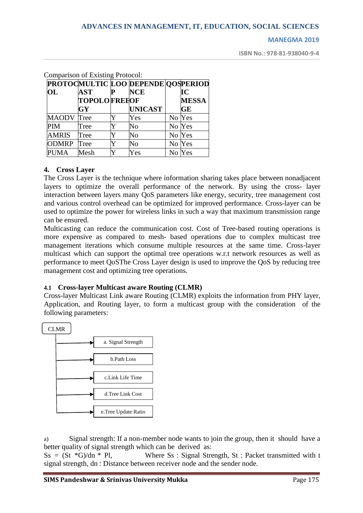#### **MANEGMA 2019**

**ISBN No.: 978-81-938040-9-4**

|                   | $\epsilon$ comparison of Laisung 1 rotocol. |                                    |        |              |
|-------------------|---------------------------------------------|------------------------------------|--------|--------------|
|                   |                                             | PROTOCMULTIC LOO DEPENDE QOSPERIOD |        |              |
| OL                | <b>AST</b>                                  | <b>NCE</b>                         |        | IС           |
|                   | <b>TOPOLOFREEOF</b>                         |                                    |        | <b>MESSA</b> |
|                   | GY                                          | <b>UNICAST</b>                     |        | <b>GE</b>    |
| <b>MAODV</b> Tree |                                             | Yes                                | No Yes |              |
| <b>PIM</b>        | Tree                                        | No                                 | No Yes |              |
| <b>AMRIS</b>      | Tree                                        | $\overline{\text{No}}$             | No Yes |              |
| <b>ODMRP</b>      | Tree                                        | $\overline{\text{No}}$             | No Yes |              |
| <b>PUMA</b>       | Mesh                                        | Yes                                | No Yes |              |

Comparison of Existing Protocol:

# **4. Cross Layer**

The Cross Layer is the technique where information sharing takes place between nonadjacent layers to optimize the overall performance of the network. By using the cross- layer interaction between layers many QoS parameters like energy, security, tree management cost and various control overhead can be optimized for improved performance. Cross-layer can be used to optimize the power for wireless links in such a way that maximum transmission range can be ensured.

Multicasting can reduce the communication cost. Cost of Tree-based routing operations is more expensive as compared to mesh- based operations due to complex multicast tree management iterations which consume multiple resources at the same time. Cross-layer multicast which can support the optimal tree operations w.r.t network resources as well as performance to meet QoSThe Cross Layer design is used to improve the QoS by reducing tree management cost and optimizing tree operations.

# **4.1 Cross-layer Multicast aware Routing (CLMR)**

Cross-layer Multicast Link aware Routing (CLMR) exploits the information from PHY layer, Application, and Routing layer, to form a multicast group with the consideration of the following parameters:



a) Signal strength: If a non-member node wants to join the group, then it should have a better quality of signal strength which can be derived as:

 $SS = (St *G)/dn * Pl$ , Where Ss : Signal Strength, St : Packet transmitted with t signal strength, dn : Distance between receiver node and the sender node.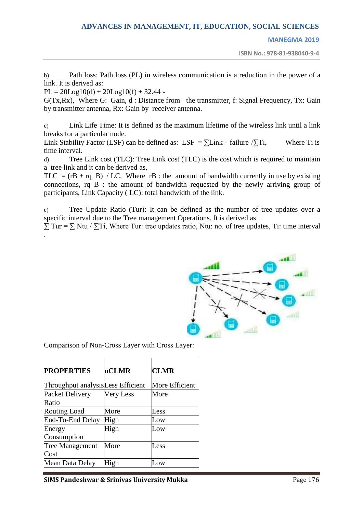#### **MANEGMA 2019**

**ISBN No.: 978-81-938040-9-4**

b) Path loss: Path loss (PL) in wireless communication is a reduction in the power of a link. It is derived as:

 $PL = 20Log10(d) + 20Log10(f) + 32.44$  -

G(Tx,Rx), Where G: Gain, d : Distance from the transmitter, f: Signal Frequency, Tx: Gain by transmitter antenna, Rx: Gain by receiver antenna.

c) Link Life Time: It is defined as the maximum lifetime of the wireless link until a link breaks for a particular node.

Link Stability Factor (LSF) can be defined as: LSF =  $\Sigma$ Link - failure  $\Sigma$ Ti, Where Ti is time interval.

d) Tree Link cost (TLC): Tree Link cost (TLC) is the cost which is required to maintain a tree link and it can be derived as,

TLC =  $(rB + rq B) / LC$ , Where rB : the amount of bandwidth currently in use by existing connections, rq B : the amount of bandwidth requested by the newly arriving group of participants, Link Capacity ( LC): total bandwidth of the link.

e) Tree Update Ratio (Tur): It can be defined as the number of tree updates over a specific interval due to the Tree management Operations. It is derived as

 $\Sigma$  Tur =  $\Sigma$  Ntu /  $\Sigma$ Ti, Where Tur: tree updates ratio, Ntu: no. of tree updates, Ti: time interval .



Comparison of Non-Cross Layer with Cross Layer:

| <b>PROPERTIES</b>                 | nCLMR     | <b>CLMR</b>    |
|-----------------------------------|-----------|----------------|
| Throughput analysisLess Efficient |           | More Efficient |
| Packet Delivery                   | Very Less | More           |
| Ratio                             |           |                |
| <b>Routing Load</b>               | More      | Less           |
| End-To-End Delay                  | High      | Low            |
| Energy                            | High      | Low            |
| Consumption                       |           |                |
| <b>Tree Management</b>            | More      | Less           |
| Cost                              |           |                |
| Mean Data Delay                   | High      | Low            |